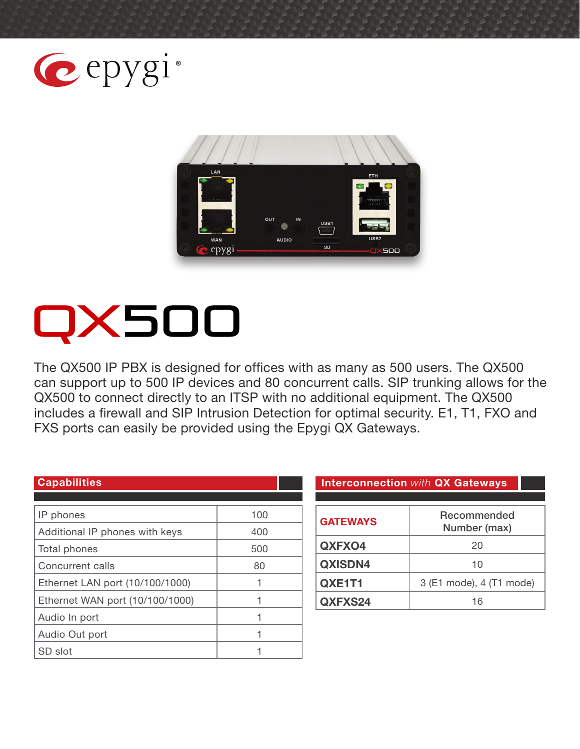



# X500

The QX500 IP PBX is designed for offices with as many as 500 users. The QX500 can support up to 500 IP devices and 80 concurrent calls. SIP trunking allows for the QX500 to connect directly to an ITSP with no additional equipment. The QX500 includes a firewall and SIP Intrusion Detection for optimal security. E1, T1, FXO and FXS ports can easily be provided using the Epygi QX Gateways.

| IP phones                       | 100 |
|---------------------------------|-----|
| Additional IP phones with keys  | 400 |
| Total phones                    | 500 |
| Concurrent calls                | 80  |
| Ethernet LAN port (10/100/1000) |     |
| Ethernet WAN port (10/100/1000) |     |
| Audio In port                   |     |
| Audio Out port                  |     |
| SD slot                         |     |

#### **Capabilities Interconnection** *with* **QX Gateways**

| <b>GATEWAYS</b> | Recommended<br>Number (max) |
|-----------------|-----------------------------|
| QXFXO4          | 20                          |
| <b>QXISDN4</b>  | 10                          |
| QXE1T1          | 3 (E1 mode), 4 (T1 mode)    |
| QXFXS24         | 16                          |